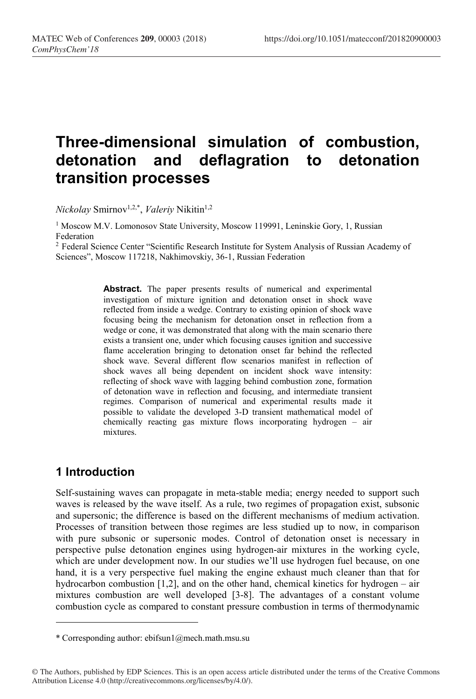# Three-dimensional simulation of combustion, detonation and deflagration to detonation transition processes

Nickolay Smirnov<sup>1,2,\*</sup>, Valeriy Nikitin<sup>1,2</sup>

<sup>1</sup> Moscow M.V. Lomonosov State University, Moscow 119991, Leninskie Gory, 1, Russian Federation

<sup>2</sup> Federal Science Center "Scientific Research Institute for System Analysis of Russian Academy of Sciences", Moscow 117218, Nakhimovskiy, 36-1, Russian Federation

> Abstract. The paper presents results of numerical and experimental investigation of mixture ignition and detonation onset in shock wave reflected from inside a wedge. Contrary to existing opinion of shock wave focusing being the mechanism for detonation onset in reflection from a wedge or cone, it was demonstrated that along with the main scenario there exists a transient one, under which focusing causes ignition and successive flame acceleration bringing to detonation onset far behind the reflected shock wave. Several different flow scenarios manifest in reflection of shock waves all being dependent on incident shock wave intensity: reflecting of shock wave with lagging behind combustion zone, formation of detonation wave in reflection and focusing, and intermediate transient regimes. Comparison of numerical and experimental results made it possible to validate the developed 3-D transient mathematical model of chemically reacting gas mixture flows incorporating hydrogen – air mixtures.

## 1 Introduction

-

Self-sustaining waves can propagate in meta-stable media; energy needed to support such waves is released by the wave itself. As a rule, two regimes of propagation exist, subsonic and supersonic; the difference is based on the different mechanisms of medium activation. Processes of transition between those regimes are less studied up to now, in comparison with pure subsonic or supersonic modes. Control of detonation onset is necessary in perspective pulse detonation engines using hydrogen-air mixtures in the working cycle, which are under development now. In our studies we'll use hydrogen fuel because, on one hand, it is a very perspective fuel making the engine exhaust much cleaner than that for hydrocarbon combustion [1,2], and on the other hand, chemical kinetics for hydrogen – air mixtures combustion are well developed [3-8]. The advantages of a constant volume combustion cycle as compared to constant pressure combustion in terms of thermodynamic

<sup>\*</sup> Corresponding author: ebifsun1@mech.math.msu.su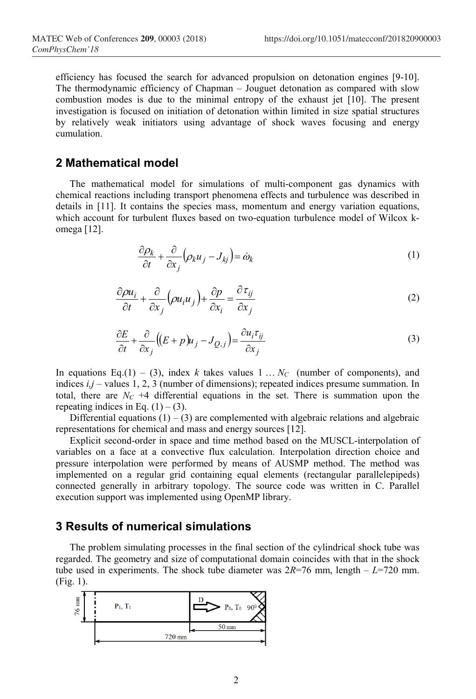efficiency has focused the search for advanced propulsion on detonation engines [9-10]. The thermodynamic efficiency of Chapman – Jouguet detonation as compared with slow combustion modes is due to the minimal entropy of the exhaust jet [10]. The present investigation is focused on initiation of detonation within limited in size spatial structures by relatively weak initiators using advantage of shock waves focusing and energy cumulation. 003 (2018) https://doi.org/10.1051/mateconit/201820900003<br>search for advanced propulsion on detonation engines [9-10].<br>they of Chapman – Jouguet detonation as compared with slow<br>to the minimal entropy of the exhaust jet [ besourced from an individual model and the set of the principal determinant of the minimal entropy of the exhaust jet [10]. The present to the minimal entropy of the exhaust jet [10]. The present in initiation of detonati

#### 2 Mathematical model

The mathematical model for simulations of multi-component gas dynamics with chemical reactions including transport phenomena effects and turbulence was described in details in [11]. It contains the species mass, momentum and energy variation equations, which account for turbulent fluxes based on two-equation turbulence model of Wilcox komega [12].

$$
\frac{\partial \rho_k}{\partial t} + \frac{\partial}{\partial x_j} \left( \rho_k u_j - J_{kj} \right) = \dot{\omega}_k \tag{1}
$$

$$
\frac{\partial \rho u_i}{\partial t} + \frac{\partial}{\partial x_j} \left( \rho u_i u_j \right) + \frac{\partial p}{\partial x_i} = \frac{\partial \tau_{ij}}{\partial x_j}
$$
 (2)

$$
\frac{\partial E}{\partial t} + \frac{\partial}{\partial x_j} \left( (E + p) u_j - J_{Q,j} \right) = \frac{\partial u_i \tau_{ij}}{\partial x_j} \tag{3}
$$

In equations Eq.(1) – (3), index k takes values  $1 \dots N_C$  (number of components), and indices  $i, j$  – values 1, 2, 3 (number of dimensions); repeated indices presume summation. In total, there are  $N_c + 4$  differential equations in the set. There is summation upon the repeating indices in Eq.  $(1) - (3)$ .

Differential equations  $(1) - (3)$  are complemented with algebraic relations and algebraic representations for chemical and mass and energy sources [12].

Explicit second-order in space and time method based on the MUSCL-interpolation of variables on a face at a convective flux calculation. Interpolation direction choice and pressure interpolation were performed by means of AUSMP method. The method was implemented on a regular grid containing equal elements (rectangular parallelepipeds) connected generally in arbitrary topology. The source code was written in C. Parallel execution support was implemented using OpenMP library.

#### 3 Results of numerical simulations

The problem simulating processes in the final section of the cylindrical shock tube was regarded. The geometry and size of computational domain coincides with that in the shock tube used in experiments. The shock tube diameter was  $2R=76$  mm, length  $- L=720$  mm. (Fig. 1).

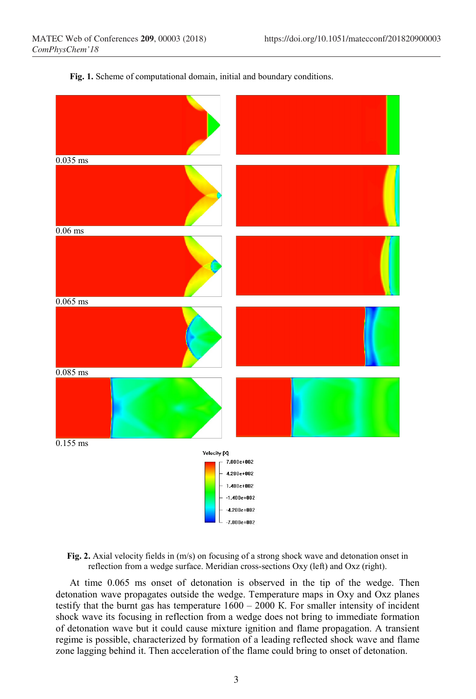





At time 0.065 ms onset of detonation is observed in the tip of the wedge. Then detonation wave propagates outside the wedge. Temperature maps in Oxy and Oxz planes testify that the burnt gas has temperature 1600 – 2000 К. For smaller intensity of incident shock wave its focusing in reflection from a wedge does not bring to immediate formation of detonation wave but it could cause mixture ignition and flame propagation. A transient regime is possible, characterized by formation of a leading reflected shock wave and flame zone lagging behind it. Then acceleration of the flame could bring to onset of detonation.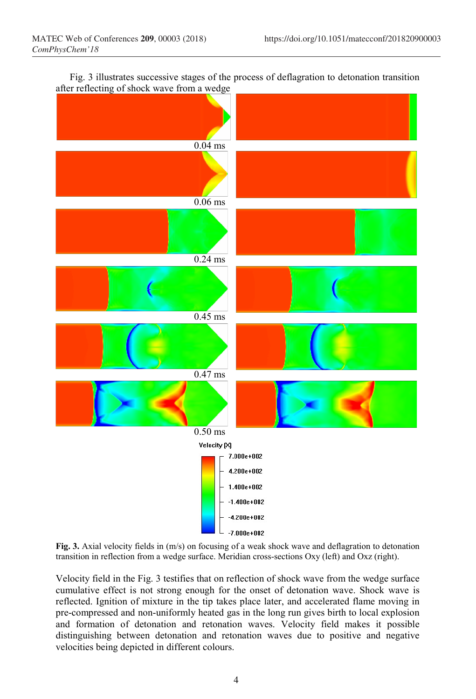Fig. 3 illustrates successive stages of the process of deflagration to detonation transition after reflecting of shock wave from a wedge



Fig. 3. Axial velocity fields in (m/s) on focusing of a weak shock wave and deflagration to detonation transition in reflection from a wedge surface. Meridian cross-sections Oxy (left) and Oxz (right).

Velocity field in the Fig. 3 testifies that on reflection of shock wave from the wedge surface cumulative effect is not strong enough for the onset of detonation wave. Shock wave is reflected. Ignition of mixture in the tip takes place later, and accelerated flame moving in pre-compressed and non-uniformly heated gas in the long run gives birth to local explosion and formation of detonation and retonation waves. Velocity field makes it possible distinguishing between detonation and retonation waves due to positive and negative velocities being depicted in different colours.